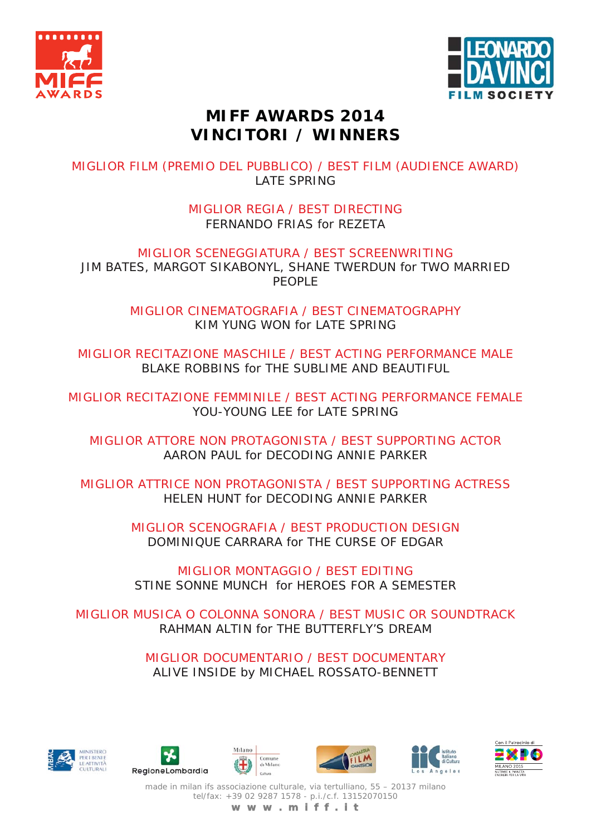



## **MIFF AWARDS 2014 VINCITORI / WINNERS**

MIGLIOR FILM (PREMIO DEL PUBBLICO) / BEST FILM (AUDIENCE AWARD) LATE SPRING

> MIGLIOR REGIA / BEST DIRECTING FERNANDO FRIAS for REZETA

MIGLIOR SCENEGGIATURA / BEST SCREENWRITING JIM BATES, MARGOT SIKABONYL, SHANE TWERDUN for TWO MARRIED PEOPLE

> MIGLIOR CINEMATOGRAFIA / BEST CINEMATOGRAPHY KIM YUNG WON for LATE SPRING

MIGLIOR RECITAZIONE MASCHILE / BEST ACTING PERFORMANCE MALE BLAKE ROBBINS for THE SUBLIME AND BEAUTIFUL

MIGLIOR RECITAZIONE FEMMINILE / BEST ACTING PERFORMANCE FEMALE YOU-YOUNG LEE for LATE SPRING

MIGLIOR ATTORE NON PROTAGONISTA / BEST SUPPORTING ACTOR AARON PAUL for DECODING ANNIE PARKER

MIGLIOR ATTRICE NON PROTAGONISTA / BEST SUPPORTING ACTRESS HELEN HUNT for DECODING ANNIE PARKER

> MIGLIOR SCENOGRAFIA / BEST PRODUCTION DESIGN DOMINIQUE CARRARA for THE CURSE OF EDGAR

MIGLIOR MONTAGGIO / BEST EDITING STINE SONNE MUNCH for HEROES FOR A SEMESTER

MIGLIOR MUSICA O COLONNA SONORA / BEST MUSIC OR SOUNDTRACK RAHMAN ALTIN for THE BUTTERFLY'S DREAM

> MIGLIOR DOCUMENTARIO / BEST DOCUMENTARY ALIVE INSIDE by MICHAEL ROSSATO-BENNETT













made in milan ifs associazione culturale, via tertulliano, 55 – 20137 milano tel/fax: +39 02 9287 1578 - p.i./c.f. 13152070150 **w w w . m i f f . i t**